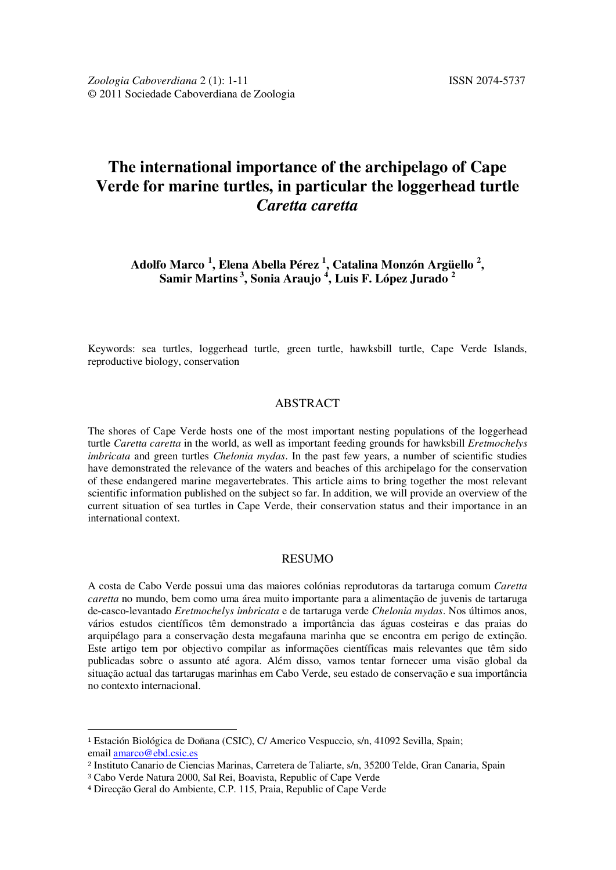# **The international importance of the archipelago of Cape Verde for marine turtles, in particular the loggerhead turtle**  *Caretta caretta*

**Adolfo Marco <sup>1</sup> , Elena Abella Pérez <sup>1</sup> , Catalina Monzón Argüello <sup>2</sup> , Samir Martins<sup>3</sup>, Sonia Araujo <sup>4</sup> , Luis F. López Jurado <sup>2</sup>**

Keywords: sea turtles, loggerhead turtle, green turtle, hawksbill turtle, Cape Verde Islands, reproductive biology, conservation

# ABSTRACT

The shores of Cape Verde hosts one of the most important nesting populations of the loggerhead turtle *Caretta caretta* in the world, as well as important feeding grounds for hawksbill *Eretmochelys imbricata* and green turtles *Chelonia mydas*. In the past few years, a number of scientific studies have demonstrated the relevance of the waters and beaches of this archipelago for the conservation of these endangered marine megavertebrates. This article aims to bring together the most relevant scientific information published on the subject so far. In addition, we will provide an overview of the current situation of sea turtles in Cape Verde, their conservation status and their importance in an international context.

## RESUMO

A costa de Cabo Verde possui uma das maiores colónias reprodutoras da tartaruga comum *Caretta caretta* no mundo, bem como uma área muito importante para a alimentação de juvenis de tartaruga de-casco-levantado *Eretmochelys imbricata* e de tartaruga verde *Chelonia mydas*. Nos últimos anos, vários estudos científicos têm demonstrado a importância das águas costeiras e das praias do arquipélago para a conservação desta megafauna marinha que se encontra em perigo de extinção. Este artigo tem por objectivo compilar as informações científicas mais relevantes que têm sido publicadas sobre o assunto até agora. Além disso, vamos tentar fornecer uma visão global da situação actual das tartarugas marinhas em Cabo Verde, seu estado de conservação e sua importância no contexto internacional.

 $\overline{a}$ 

<sup>1</sup> Estación Biológica de Doñana (CSIC), C/ Americo Vespuccio, s/n, 41092 Sevilla, Spain; email amarco@ebd.csic.es

<sup>2</sup> Instituto Canario de Ciencias Marinas, Carretera de Taliarte, s/n, 35200 Telde, Gran Canaria, Spain

<sup>3</sup> Cabo Verde Natura 2000, Sal Rei, Boavista, Republic of Cape Verde

<sup>4</sup> Direcção Geral do Ambiente, C.P. 115, Praia, Republic of Cape Verde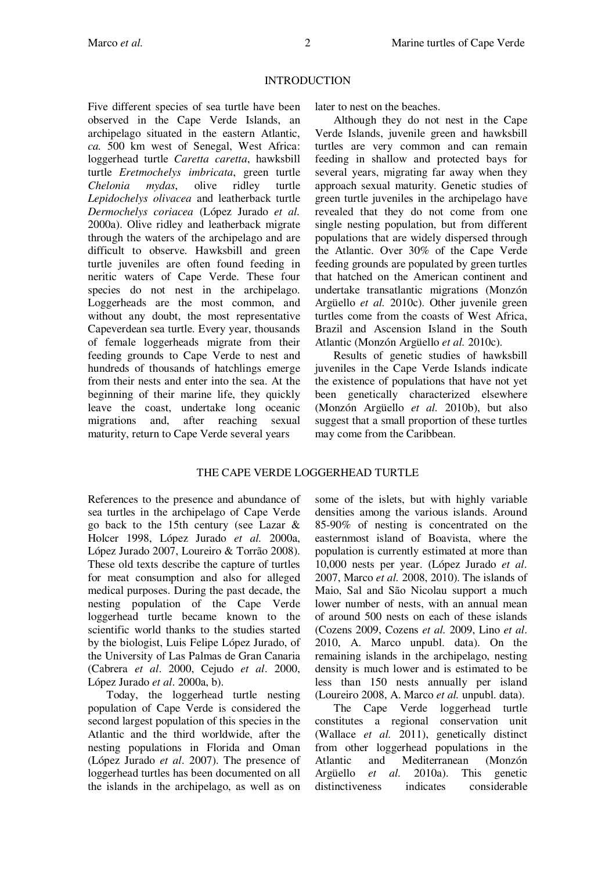# INTRODUCTION

Five different species of sea turtle have been observed in the Cape Verde Islands, an archipelago situated in the eastern Atlantic, *ca.* 500 km west of Senegal, West Africa: loggerhead turtle *Caretta caretta*, hawksbill turtle *Eretmochelys imbricata*, green turtle *Chelonia mydas*, olive ridley turtle *Lepidochelys olivacea* and leatherback turtle *Dermochelys coriacea* (López Jurado *et al.* 2000a). Olive ridley and leatherback migrate through the waters of the archipelago and are difficult to observe. Hawksbill and green turtle juveniles are often found feeding in neritic waters of Cape Verde. These four species do not nest in the archipelago. Loggerheads are the most common, and without any doubt, the most representative Capeverdean sea turtle. Every year, thousands of female loggerheads migrate from their feeding grounds to Cape Verde to nest and hundreds of thousands of hatchlings emerge from their nests and enter into the sea. At the beginning of their marine life, they quickly leave the coast, undertake long oceanic migrations and, after reaching sexual maturity, return to Cape Verde several years

later to nest on the beaches.

Although they do not nest in the Cape Verde Islands, juvenile green and hawksbill turtles are very common and can remain feeding in shallow and protected bays for several years, migrating far away when they approach sexual maturity. Genetic studies of green turtle juveniles in the archipelago have revealed that they do not come from one single nesting population, but from different populations that are widely dispersed through the Atlantic. Over 30% of the Cape Verde feeding grounds are populated by green turtles that hatched on the American continent and undertake transatlantic migrations (Monzón Argüello *et al.* 2010c). Other juvenile green turtles come from the coasts of West Africa, Brazil and Ascension Island in the South Atlantic (Monzón Argüello *et al.* 2010c).

Results of genetic studies of hawksbill juveniles in the Cape Verde Islands indicate the existence of populations that have not yet been genetically characterized elsewhere (Monzón Argüello *et al.* 2010b), but also suggest that a small proportion of these turtles may come from the Caribbean.

# THE CAPE VERDE LOGGERHEAD TURTLE

References to the presence and abundance of sea turtles in the archipelago of Cape Verde go back to the 15th century (see Lazar & Holcer 1998, López Jurado *et al.* 2000a, López Jurado 2007, Loureiro & Torrão 2008). These old texts describe the capture of turtles for meat consumption and also for alleged medical purposes. During the past decade, the nesting population of the Cape Verde loggerhead turtle became known to the scientific world thanks to the studies started by the biologist, Luis Felipe López Jurado, of the University of Las Palmas de Gran Canaria (Cabrera *et al*. 2000, Cejudo *et al*. 2000, López Jurado *et al*. 2000a, b).

Today, the loggerhead turtle nesting population of Cape Verde is considered the second largest population of this species in the Atlantic and the third worldwide, after the nesting populations in Florida and Oman (López Jurado *et al*. 2007). The presence of loggerhead turtles has been documented on all the islands in the archipelago, as well as on

some of the islets, but with highly variable densities among the various islands. Around 85-90% of nesting is concentrated on the easternmost island of Boavista, where the population is currently estimated at more than 10,000 nests per year. (López Jurado *et al*. 2007, Marco *et al.* 2008, 2010). The islands of Maio, Sal and São Nicolau support a much lower number of nests, with an annual mean of around 500 nests on each of these islands (Cozens 2009, Cozens *et al.* 2009, Lino *et al*. 2010, A. Marco unpubl. data). On the remaining islands in the archipelago, nesting density is much lower and is estimated to be less than 150 nests annually per island (Loureiro 2008, A. Marco *et al.* unpubl. data).

The Cape Verde loggerhead turtle constitutes a regional conservation unit (Wallace *et al.* 2011), genetically distinct from other loggerhead populations in the Atlantic and Mediterranean (Monzón Argüello *et al.* 2010a). This genetic distinctiveness indicates considerable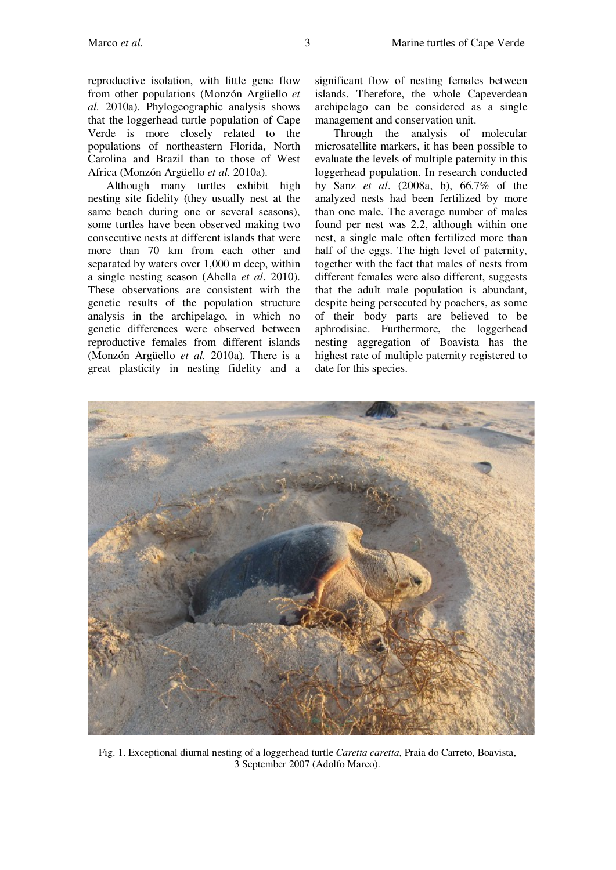reproductive isolation, with little gene flow from other populations (Monzón Argüello *et al.* 2010a). Phylogeographic analysis shows that the loggerhead turtle population of Cape Verde is more closely related to the populations of northeastern Florida, North Carolina and Brazil than to those of West Africa (Monzón Argüello *et al.* 2010a).

Although many turtles exhibit high nesting site fidelity (they usually nest at the same beach during one or several seasons), some turtles have been observed making two consecutive nests at different islands that were more than 70 km from each other and separated by waters over 1,000 m deep, within a single nesting season (Abella *et al*. 2010). These observations are consistent with the genetic results of the population structure analysis in the archipelago, in which no genetic differences were observed between reproductive females from different islands (Monzón Argüello *et al.* 2010a). There is a great plasticity in nesting fidelity and a

significant flow of nesting females between islands. Therefore, the whole Capeverdean archipelago can be considered as a single management and conservation unit.

Through the analysis of molecular microsatellite markers, it has been possible to evaluate the levels of multiple paternity in this loggerhead population. In research conducted by Sanz *et al*. (2008a, b), 66.7% of the analyzed nests had been fertilized by more than one male. The average number of males found per nest was 2.2, although within one nest, a single male often fertilized more than half of the eggs. The high level of paternity, together with the fact that males of nests from different females were also different, suggests that the adult male population is abundant, despite being persecuted by poachers, as some of their body parts are believed to be aphrodisiac. Furthermore, the loggerhead nesting aggregation of Boavista has the highest rate of multiple paternity registered to date for this species.

Fig. 1. Exceptional diurnal nesting of a loggerhead turtle *Caretta caretta*, Praia do Carreto, Boavista, 3 September 2007 (Adolfo Marco).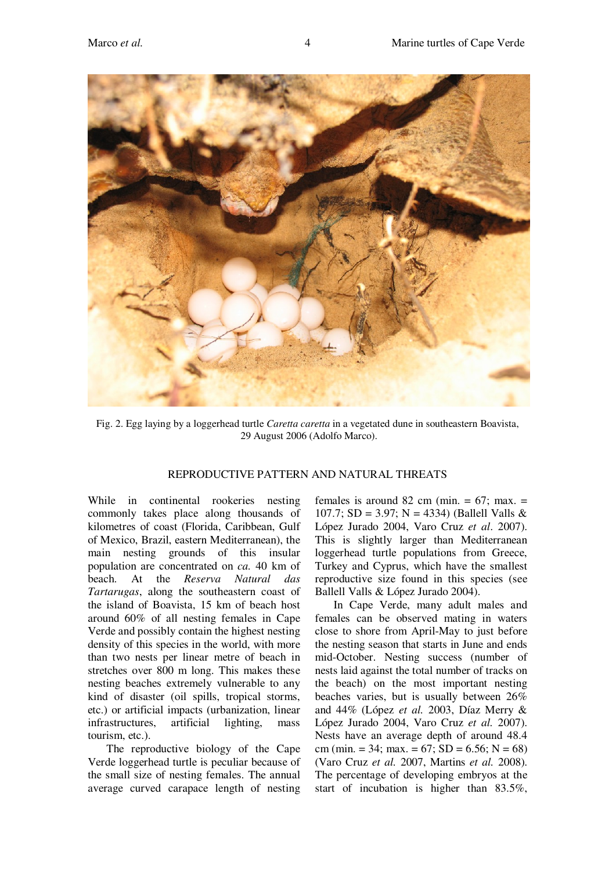

Fig. 2. Egg laying by a loggerhead turtle *Caretta caretta* in a vegetated dune in southeastern Boavista, 29 August 2006 (Adolfo Marco).

# REPRODUCTIVE PATTERN AND NATURAL THREATS

While in continental rookeries nesting commonly takes place along thousands of kilometres of coast (Florida, Caribbean, Gulf of Mexico, Brazil, eastern Mediterranean), the main nesting grounds of this insular population are concentrated on *ca.* 40 km of beach. At the *Reserva Natural das Tartarugas*, along the southeastern coast of the island of Boavista, 15 km of beach host around 60% of all nesting females in Cape Verde and possibly contain the highest nesting density of this species in the world, with more than two nests per linear metre of beach in stretches over 800 m long. This makes these nesting beaches extremely vulnerable to any kind of disaster (oil spills, tropical storms, etc.) or artificial impacts (urbanization, linear infrastructures, artificial lighting, mass tourism, etc.).

The reproductive biology of the Cape Verde loggerhead turtle is peculiar because of the small size of nesting females. The annual average curved carapace length of nesting females is around 82 cm (min.  $= 67$ ; max.  $=$ 107.7; SD = 3.97; N = 4334) (Ballell Valls & López Jurado 2004, Varo Cruz *et al*. 2007). This is slightly larger than Mediterranean loggerhead turtle populations from Greece, Turkey and Cyprus, which have the smallest reproductive size found in this species (see Ballell Valls & López Jurado 2004).

In Cape Verde, many adult males and females can be observed mating in waters close to shore from April-May to just before the nesting season that starts in June and ends mid-October. Nesting success (number of nests laid against the total number of tracks on the beach) on the most important nesting beaches varies, but is usually between 26% and 44% (López *et al.* 2003, Díaz Merry & López Jurado 2004, Varo Cruz *et al.* 2007). Nests have an average depth of around 48.4 cm (min. = 34; max. = 67; SD = 6.56; N = 68) (Varo Cruz *et al.* 2007, Martins *et al.* 2008). The percentage of developing embryos at the start of incubation is higher than 83.5%,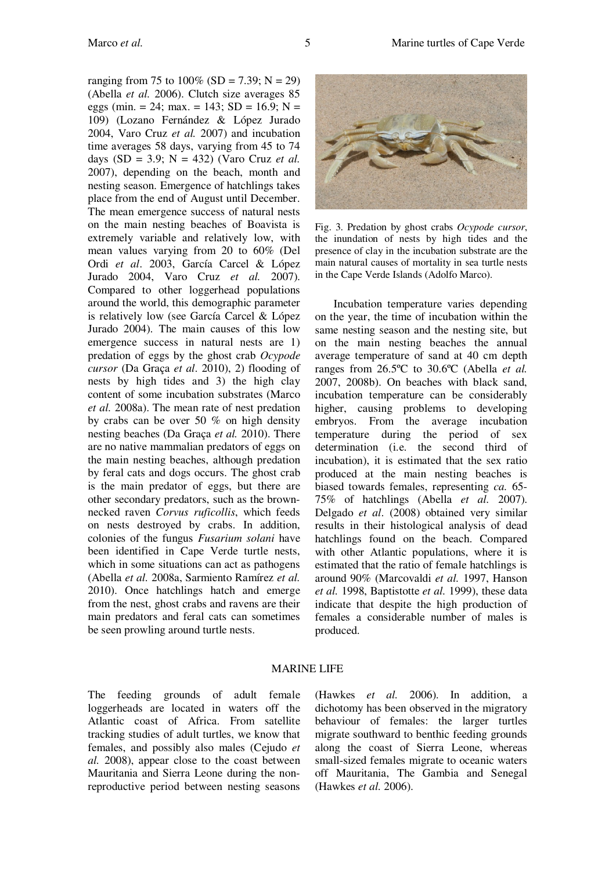ranging from 75 to  $100\%$  (SD = 7.39; N = 29) (Abella *et al.* 2006). Clutch size averages 85 eggs (min. = 24; max. = 143; SD = 16.9; N = 109) (Lozano Fernández & López Jurado 2004, Varo Cruz *et al.* 2007) and incubation time averages 58 days, varying from 45 to 74 days (SD = 3.9; N = 432) (Varo Cruz *et al.* 2007), depending on the beach, month and nesting season. Emergence of hatchlings takes place from the end of August until December. The mean emergence success of natural nests on the main nesting beaches of Boavista is extremely variable and relatively low, with mean values varying from 20 to 60% (Del Ordi *et al*. 2003, García Carcel & López Jurado 2004, Varo Cruz *et al.* 2007). Compared to other loggerhead populations around the world, this demographic parameter is relatively low (see García Carcel & López Jurado 2004). The main causes of this low emergence success in natural nests are 1) predation of eggs by the ghost crab *Ocypode cursor* (Da Graça *et al*. 2010), 2) flooding of nests by high tides and 3) the high clay content of some incubation substrates (Marco *et al.* 2008a). The mean rate of nest predation by crabs can be over 50 % on high density nesting beaches (Da Graça *et al.* 2010). There are no native mammalian predators of eggs on the main nesting beaches, although predation by feral cats and dogs occurs. The ghost crab is the main predator of eggs, but there are other secondary predators, such as the brownnecked raven *Corvus ruficollis*, which feeds on nests destroyed by crabs. In addition, colonies of the fungus *Fusarium solani* have been identified in Cape Verde turtle nests, which in some situations can act as pathogens (Abella *et al.* 2008a, Sarmiento Ramírez *et al.* 2010). Once hatchlings hatch and emerge from the nest, ghost crabs and ravens are their main predators and feral cats can sometimes be seen prowling around turtle nests.



Fig. 3. Predation by ghost crabs *Ocypode cursor*, the inundation of nests by high tides and the presence of clay in the incubation substrate are the main natural causes of mortality in sea turtle nests in the Cape Verde Islands (Adolfo Marco).

Incubation temperature varies depending on the year, the time of incubation within the same nesting season and the nesting site, but on the main nesting beaches the annual average temperature of sand at 40 cm depth ranges from 26.5ºC to 30.6ºC (Abella *et al.* 2007, 2008b). On beaches with black sand, incubation temperature can be considerably higher, causing problems to developing embryos. From the average incubation temperature during the period of sex determination (i.e. the second third of incubation), it is estimated that the sex ratio produced at the main nesting beaches is biased towards females, representing *ca.* 65- 75% of hatchlings (Abella *et al.* 2007). Delgado *et al*. (2008) obtained very similar results in their histological analysis of dead hatchlings found on the beach. Compared with other Atlantic populations, where it is estimated that the ratio of female hatchlings is around 90% (Marcovaldi *et al.* 1997, Hanson *et al.* 1998, Baptistotte *et al.* 1999), these data indicate that despite the high production of females a considerable number of males is produced.

#### MARINE LIFE

The feeding grounds of adult female loggerheads are located in waters off the Atlantic coast of Africa. From satellite tracking studies of adult turtles, we know that females, and possibly also males (Cejudo *et al.* 2008), appear close to the coast between Mauritania and Sierra Leone during the nonreproductive period between nesting seasons (Hawkes *et al.* 2006). In addition, a dichotomy has been observed in the migratory behaviour of females: the larger turtles migrate southward to benthic feeding grounds along the coast of Sierra Leone, whereas small-sized females migrate to oceanic waters off Mauritania, The Gambia and Senegal (Hawkes *et al.* 2006).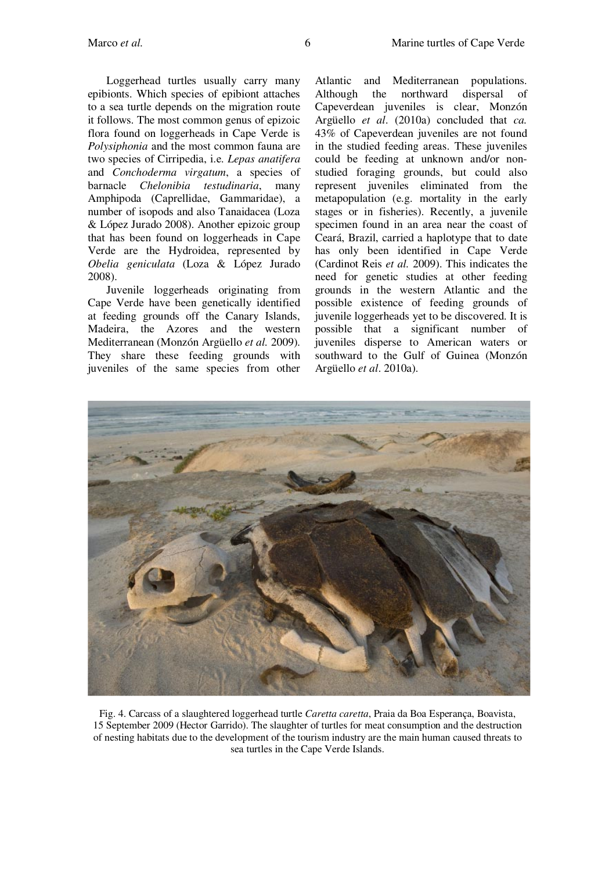Loggerhead turtles usually carry many epibionts. Which species of epibiont attaches to a sea turtle depends on the migration route it follows. The most common genus of epizoic flora found on loggerheads in Cape Verde is *Polysiphonia* and the most common fauna are two species of Cirripedia, i.e. *Lepas anatifera* and *Conchoderma virgatum*, a species of barnacle *Chelonibia testudinaria*, many Amphipoda (Caprellidae, Gammaridae), a number of isopods and also Tanaidacea (Loza & López Jurado 2008). Another epizoic group that has been found on loggerheads in Cape Verde are the Hydroidea, represented by *Obelia geniculata* (Loza & López Jurado 2008).

Juvenile loggerheads originating from Cape Verde have been genetically identified at feeding grounds off the Canary Islands, Madeira, the Azores and the western Mediterranean (Monzón Argüello *et al.* 2009). They share these feeding grounds with juveniles of the same species from other

Atlantic and Mediterranean populations. Although the northward dispersal of Capeverdean juveniles is clear, Monzón Argüello *et al*. (2010a) concluded that *ca.* 43% of Capeverdean juveniles are not found in the studied feeding areas. These juveniles could be feeding at unknown and/or nonstudied foraging grounds, but could also represent juveniles eliminated from the metapopulation (e.g. mortality in the early stages or in fisheries). Recently, a juvenile specimen found in an area near the coast of Ceará, Brazil, carried a haplotype that to date has only been identified in Cape Verde (Cardinot Reis *et al.* 2009). This indicates the need for genetic studies at other feeding grounds in the western Atlantic and the possible existence of feeding grounds of juvenile loggerheads yet to be discovered. It is possible that a significant number of juveniles disperse to American waters or southward to the Gulf of Guinea (Monzón Argüello *et al*. 2010a).



Fig. 4. Carcass of a slaughtered loggerhead turtle *Caretta caretta*, Praia da Boa Esperança, Boavista, 15 September 2009 (Hector Garrido). The slaughter of turtles for meat consumption and the destruction of nesting habitats due to the development of the tourism industry are the main human caused threats to sea turtles in the Cape Verde Islands.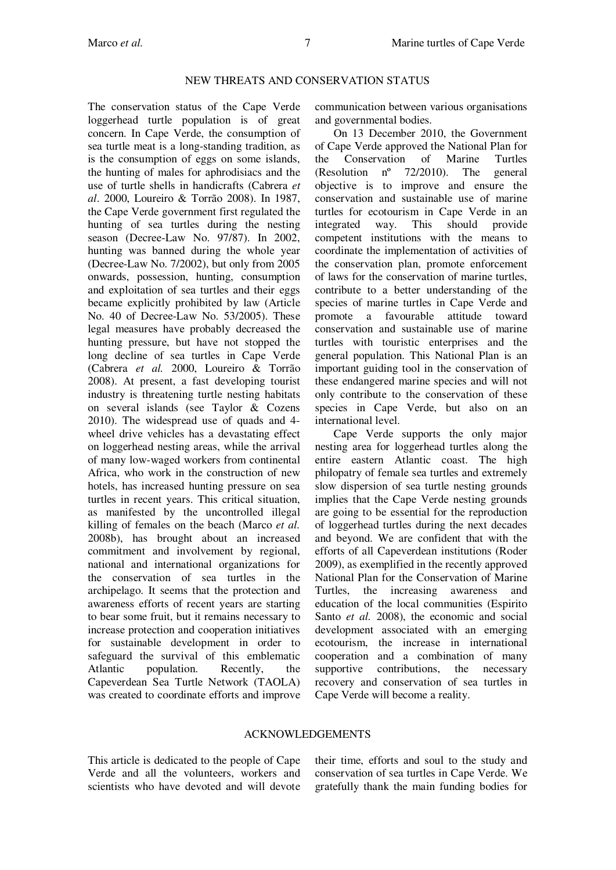### NEW THREATS AND CONSERVATION STATUS

The conservation status of the Cape Verde loggerhead turtle population is of great concern. In Cape Verde, the consumption of sea turtle meat is a long-standing tradition, as is the consumption of eggs on some islands, the hunting of males for aphrodisiacs and the use of turtle shells in handicrafts (Cabrera *et al*. 2000, Loureiro & Torrão 2008). In 1987, the Cape Verde government first regulated the hunting of sea turtles during the nesting season (Decree-Law No. 97/87). In 2002, hunting was banned during the whole year (Decree-Law No. 7/2002), but only from 2005 onwards, possession, hunting, consumption and exploitation of sea turtles and their eggs became explicitly prohibited by law (Article No. 40 of Decree-Law No. 53/2005). These legal measures have probably decreased the hunting pressure, but have not stopped the long decline of sea turtles in Cape Verde (Cabrera *et al.* 2000, Loureiro & Torrão 2008). At present, a fast developing tourist industry is threatening turtle nesting habitats on several islands (see Taylor & Cozens 2010). The widespread use of quads and 4 wheel drive vehicles has a devastating effect on loggerhead nesting areas, while the arrival of many low-waged workers from continental Africa, who work in the construction of new hotels, has increased hunting pressure on sea turtles in recent years. This critical situation, as manifested by the uncontrolled illegal killing of females on the beach (Marco *et al.* 2008b), has brought about an increased commitment and involvement by regional, national and international organizations for the conservation of sea turtles in the archipelago. It seems that the protection and awareness efforts of recent years are starting to bear some fruit, but it remains necessary to increase protection and cooperation initiatives for sustainable development in order to safeguard the survival of this emblematic Atlantic population. Recently, the Capeverdean Sea Turtle Network (TAOLA) was created to coordinate efforts and improve communication between various organisations and governmental bodies.

On 13 December 2010, the Government of Cape Verde approved the National Plan for the Conservation of Marine Turtles (Resolution nº 72/2010). The general objective is to improve and ensure the conservation and sustainable use of marine turtles for ecotourism in Cape Verde in an integrated way. This should provide competent institutions with the means to coordinate the implementation of activities of the conservation plan, promote enforcement of laws for the conservation of marine turtles, contribute to a better understanding of the species of marine turtles in Cape Verde and promote a favourable attitude toward conservation and sustainable use of marine turtles with touristic enterprises and the general population. This National Plan is an important guiding tool in the conservation of these endangered marine species and will not only contribute to the conservation of these species in Cape Verde, but also on an international level.

Cape Verde supports the only major nesting area for loggerhead turtles along the entire eastern Atlantic coast. The high philopatry of female sea turtles and extremely slow dispersion of sea turtle nesting grounds implies that the Cape Verde nesting grounds are going to be essential for the reproduction of loggerhead turtles during the next decades and beyond. We are confident that with the efforts of all Capeverdean institutions (Roder 2009), as exemplified in the recently approved National Plan for the Conservation of Marine Turtles, the increasing awareness and education of the local communities (Espirito Santo *et al.* 2008), the economic and social development associated with an emerging ecotourism, the increase in international cooperation and a combination of many supportive contributions, the necessary recovery and conservation of sea turtles in Cape Verde will become a reality.

#### ACKNOWLEDGEMENTS

This article is dedicated to the people of Cape Verde and all the volunteers, workers and scientists who have devoted and will devote their time, efforts and soul to the study and conservation of sea turtles in Cape Verde. We gratefully thank the main funding bodies for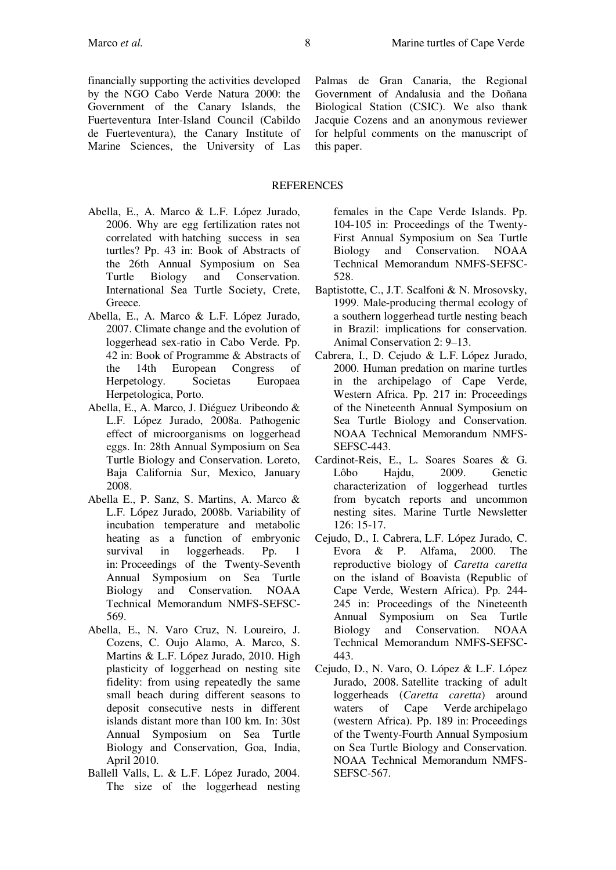## REFERENCES

- Abella, E., A. Marco & L.F. López Jurado, 2006. Why are egg fertilization rates not correlated with hatching success in sea turtles? Pp. 43 in: Book of Abstracts of the 26th Annual Symposium on Sea Turtle Biology and Conservation. International Sea Turtle Society, Crete, Greece.
- Abella, E., A. Marco & L.F. López Jurado, 2007. Climate change and the evolution of loggerhead sex-ratio in Cabo Verde. Pp. 42 in: Book of Programme & Abstracts of the 14th European Congress of Herpetology. Societas Europaea Herpetologica, Porto.
- Abella, E., A. Marco, J. Diéguez Uribeondo & L.F. López Jurado, 2008a. Pathogenic effect of microorganisms on loggerhead eggs. In: 28th Annual Symposium on Sea Turtle Biology and Conservation. Loreto, Baja California Sur, Mexico, January 2008.
- Abella E., P. Sanz, S. Martins, A. Marco & L.F. López Jurado, 2008b. Variability of incubation temperature and metabolic heating as a function of embryonic survival in loggerheads. Pp. 1 in: Proceedings of the Twenty-Seventh Annual Symposium on Sea Turtle Biology and Conservation. NOAA Technical Memorandum NMFS-SEFSC-569.
- Abella, E., N. Varo Cruz, N. Loureiro, J. Cozens, C. Oujo Alamo, A. Marco, S. Martins & L.F. López Jurado, 2010. High plasticity of loggerhead on nesting site fidelity: from using repeatedly the same small beach during different seasons to deposit consecutive nests in different islands distant more than 100 km. In: 30st Annual Symposium on Sea Turtle Biology and Conservation, Goa, India, April 2010.
- Ballell Valls, L. & L.F. López Jurado, 2004. The size of the loggerhead nesting

females in the Cape Verde Islands. Pp. 104-105 in: Proceedings of the Twenty-First Annual Symposium on Sea Turtle Biology and Conservation. NOAA Technical Memorandum NMFS-SEFSC-528.

- Baptistotte, C., J.T. Scalfoni & N. Mrosovsky, 1999. Male-producing thermal ecology of a southern loggerhead turtle nesting beach in Brazil: implications for conservation. Animal Conservation 2: 9–13.
- Cabrera, I., D. Cejudo & L.F. López Jurado, 2000. Human predation on marine turtles in the archipelago of Cape Verde, Western Africa. Pp. 217 in: Proceedings of the Nineteenth Annual Symposium on Sea Turtle Biology and Conservation. NOAA Technical Memorandum NMFS-SEFSC-443.
- Cardinot-Reis, E., L. Soares Soares & G. Lôbo Hajdu, 2009. Genetic characterization of loggerhead turtles from bycatch reports and uncommon nesting sites. Marine Turtle Newsletter 126: 15-17.
- Cejudo, D., I. Cabrera, L.F. López Jurado, C. Evora & P. Alfama, 2000. The reproductive biology of *Caretta caretta* on the island of Boavista (Republic of Cape Verde, Western Africa). Pp. 244- 245 in: Proceedings of the Nineteenth Annual Symposium on Sea Turtle Biology and Conservation. NOAA Technical Memorandum NMFS-SEFSC-443.
- Cejudo, D., N. Varo, O. López & L.F. López Jurado, 2008. Satellite tracking of adult loggerheads (*Caretta caretta*) around waters of Cape Verde archipelago (western Africa). Pp. 189 in: Proceedings of the Twenty-Fourth Annual Symposium on Sea Turtle Biology and Conservation. NOAA Technical Memorandum NMFS-SEFSC-567.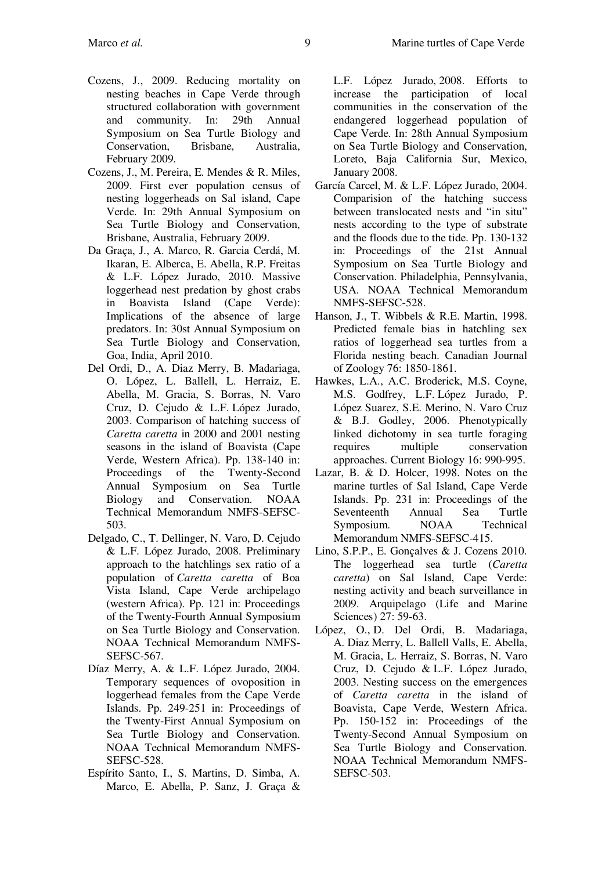- Cozens, J., 2009. Reducing mortality on nesting beaches in Cape Verde through structured collaboration with government and community. In: 29th Annual Symposium on Sea Turtle Biology and Conservation, Brisbane, Australia, February 2009.
- Cozens, J., M. Pereira, E. Mendes & R. Miles, 2009. First ever population census of nesting loggerheads on Sal island, Cape Verde. In: 29th Annual Symposium on Sea Turtle Biology and Conservation, Brisbane, Australia, February 2009.
- Da Graça, J., A. Marco, R. Garcia Cerdá, M. Ikaran, E. Alberca, E. Abella, R.P. Freitas & L.F. López Jurado, 2010. Massive loggerhead nest predation by ghost crabs in Boavista Island (Cape Verde): Implications of the absence of large predators. In: 30st Annual Symposium on Sea Turtle Biology and Conservation, Goa, India, April 2010.
- Del Ordi, D., A. Diaz Merry, B. Madariaga, O. López, L. Ballell, L. Herraiz, E. Abella, M. Gracia, S. Borras, N. Varo Cruz, D. Cejudo & L.F. López Jurado, 2003. Comparison of hatching success of *Caretta caretta* in 2000 and 2001 nesting seasons in the island of Boavista (Cape Verde, Western Africa). Pp. 138-140 in: Proceedings of the Twenty-Second Annual Symposium on Sea Turtle Biology and Conservation. NOAA Technical Memorandum NMFS-SEFSC-503.
- Delgado, C., T. Dellinger, N. Varo, D. Cejudo & L.F. López Jurado, 2008. Preliminary approach to the hatchlings sex ratio of a population of *Caretta caretta* of Boa Vista Island, Cape Verde archipelago (western Africa). Pp. 121 in: Proceedings of the Twenty-Fourth Annual Symposium on Sea Turtle Biology and Conservation. NOAA Technical Memorandum NMFS-SEFSC-567.
- Díaz Merry, A. & L.F. López Jurado, 2004. Temporary sequences of ovoposition in loggerhead females from the Cape Verde Islands. Pp. 249-251 in: Proceedings of the Twenty-First Annual Symposium on Sea Turtle Biology and Conservation. NOAA Technical Memorandum NMFS-SEFSC-528.
- Espírito Santo, I., S. Martins, D. Simba, A. Marco, E. Abella, P. Sanz, J. Graça &

L.F. López Jurado, 2008. Efforts to increase the participation of local communities in the conservation of the endangered loggerhead population of Cape Verde. In: 28th Annual Symposium on Sea Turtle Biology and Conservation, Loreto, Baja California Sur, Mexico, January 2008.

- García Carcel, M. & L.F. López Jurado, 2004. Comparision of the hatching success between translocated nests and "in situ" nests according to the type of substrate and the floods due to the tide. Pp. 130-132 in: Proceedings of the 21st Annual Symposium on Sea Turtle Biology and Conservation. Philadelphia, Pennsylvania, USA. NOAA Technical Memorandum NMFS-SEFSC-528.
- Hanson, J., T. Wibbels & R.E. Martin, 1998. Predicted female bias in hatchling sex ratios of loggerhead sea turtles from a Florida nesting beach. Canadian Journal of Zoology 76: 1850-1861.
- Hawkes, L.A., A.C. Broderick, M.S. Coyne, M.S. Godfrey, L.F. López Jurado, P. López Suarez, S.E. Merino, N. Varo Cruz & B.J. Godley, 2006. Phenotypically linked dichotomy in sea turtle foraging requires multiple conservation approaches. Current Biology 16: 990-995.
- Lazar, B. & D. Holcer, 1998. Notes on the marine turtles of Sal Island, Cape Verde Islands. Pp. 231 in: Proceedings of the Seventeenth Annual Sea Turtle Symposium. NOAA Technical Memorandum NMFS-SEFSC-415.
- Lino, S.P.P., E. Gonçalves & J. Cozens 2010. The loggerhead sea turtle (*Caretta caretta*) on Sal Island, Cape Verde: nesting activity and beach surveillance in 2009. Arquipelago (Life and Marine Sciences) 27: 59-63.
- López, O., D. Del Ordi, B. Madariaga, A. Diaz Merry, L. Ballell Valls, E. Abella, M. Gracia, L. Herraiz, S. Borras, N. Varo Cruz, D. Cejudo & L.F. López Jurado, 2003. Nesting success on the emergences of *Caretta caretta* in the island of Boavista, Cape Verde, Western Africa. Pp. 150-152 in: Proceedings of the Twenty-Second Annual Symposium on Sea Turtle Biology and Conservation. NOAA Technical Memorandum NMFS-SEFSC-503.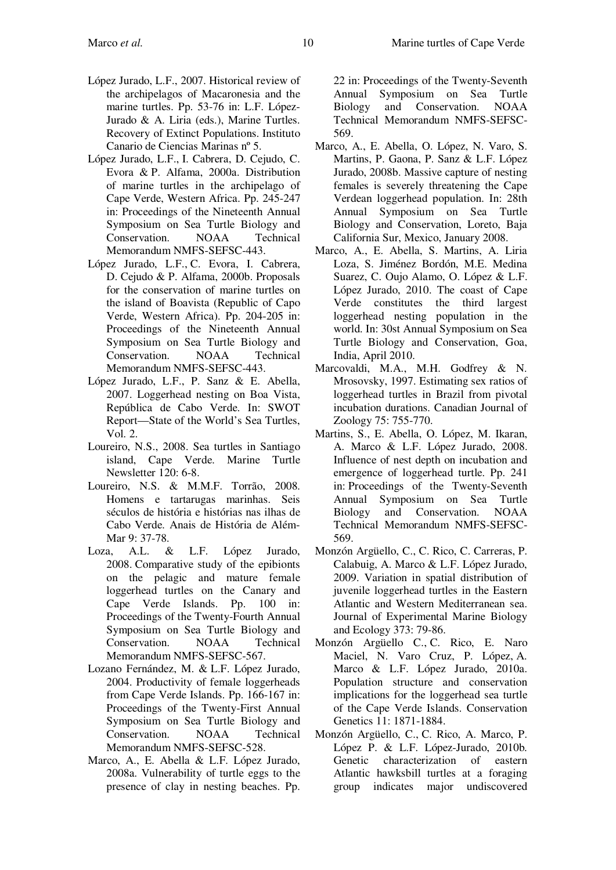- López Jurado, L.F., 2007. Historical review of the archipelagos of Macaronesia and the marine turtles. Pp. 53-76 in: L.F. López-Jurado & A. Liria (eds.), Marine Turtles. Recovery of Extinct Populations. Instituto Canario de Ciencias Marinas nº 5.
- López Jurado, L.F., I. Cabrera, D. Cejudo, C. Evora & P. Alfama, 2000a. Distribution of marine turtles in the archipelago of Cape Verde, Western Africa. Pp. 245-247 in: Proceedings of the Nineteenth Annual Symposium on Sea Turtle Biology and Conservation. NOAA Technical Memorandum NMFS-SEFSC-443.
- López Jurado, L.F., C. Evora, I. Cabrera, D. Cejudo & P. Alfama, 2000b. Proposals for the conservation of marine turtles on the island of Boavista (Republic of Capo Verde, Western Africa). Pp. 204-205 in: Proceedings of the Nineteenth Annual Symposium on Sea Turtle Biology and Conservation. NOAA Technical Memorandum NMFS-SEFSC-443.
- López Jurado, L.F., P. Sanz & E. Abella, 2007. Loggerhead nesting on Boa Vista, República de Cabo Verde. In: SWOT Report—State of the World's Sea Turtles, Vol. 2.
- Loureiro, N.S., 2008. Sea turtles in Santiago island, Cape Verde. Marine Turtle Newsletter 120: 6-8.
- Loureiro, N.S. & M.M.F. Torrão, 2008. Homens e tartarugas marinhas. Seis séculos de história e histórias nas ilhas de Cabo Verde. Anais de História de Além-Mar 9: 37-78.
- Loza, A.L. & L.F. López Jurado, 2008. Comparative study of the epibionts on the pelagic and mature female loggerhead turtles on the Canary and Cape Verde Islands. Pp. 100 in: Proceedings of the Twenty-Fourth Annual Symposium on Sea Turtle Biology and<br>Conservation. NOAA Technical Conservation. NOAA Memorandum NMFS-SEFSC-567.
- Lozano Fernández, M. & L.F. López Jurado, 2004. Productivity of female loggerheads from Cape Verde Islands. Pp. 166-167 in: Proceedings of the Twenty-First Annual Symposium on Sea Turtle Biology and Conservation. NOAA Technical Memorandum NMFS-SEFSC-528.
- Marco, A., E. Abella & L.F. López Jurado, 2008a. Vulnerability of turtle eggs to the presence of clay in nesting beaches. Pp.

22 in: Proceedings of the Twenty-Seventh Annual Symposium on Sea Turtle Biology and Conservation. NOAA Technical Memorandum NMFS-SEFSC-569.

- Marco, A., E. Abella, O. López, N. Varo, S. Martins, P. Gaona, P. Sanz & L.F. López Jurado, 2008b. Massive capture of nesting females is severely threatening the Cape Verdean loggerhead population. In: 28th Annual Symposium on Sea Turtle Biology and Conservation, Loreto, Baja California Sur, Mexico, January 2008.
- Marco, A., E. Abella, S. Martins, A. Liria Loza, S. Jiménez Bordón, M.E. Medina Suarez, C. Oujo Alamo, O. López & L.F. López Jurado, 2010. The coast of Cape Verde constitutes the third largest loggerhead nesting population in the world. In: 30st Annual Symposium on Sea Turtle Biology and Conservation, Goa, India, April 2010.
- Marcovaldi, M.A., M.H. Godfrey & N. Mrosovsky, 1997. Estimating sex ratios of loggerhead turtles in Brazil from pivotal incubation durations. Canadian Journal of Zoology 75: 755-770.
- Martins, S., E. Abella, O. López, M. Ikaran, A. Marco & L.F. López Jurado, 2008. Influence of nest depth on incubation and emergence of loggerhead turtle. Pp. 241 in: Proceedings of the Twenty-Seventh Annual Symposium on Sea Turtle Biology and Conservation. NOAA Technical Memorandum NMFS-SEFSC-569.
- Monzón Argüello, C., C. Rico, C. Carreras, P. Calabuig, A. Marco & L.F. López Jurado, 2009. Variation in spatial distribution of juvenile loggerhead turtles in the Eastern Atlantic and Western Mediterranean sea. Journal of Experimental Marine Biology and Ecology 373: 79-86.
- Monzón Argüello C., C. Rico, E. Naro Maciel, N. Varo Cruz, P. López, A. Marco & L.F. López Jurado, 2010a. Population structure and conservation implications for the loggerhead sea turtle of the Cape Verde Islands. Conservation Genetics 11: 1871-1884.
- Monzón Argüello, C., C. Rico, A. Marco, P. López P. & L.F. López-Jurado, 2010b*.* Genetic characterization of eastern Atlantic hawksbill turtles at a foraging group indicates major undiscovered